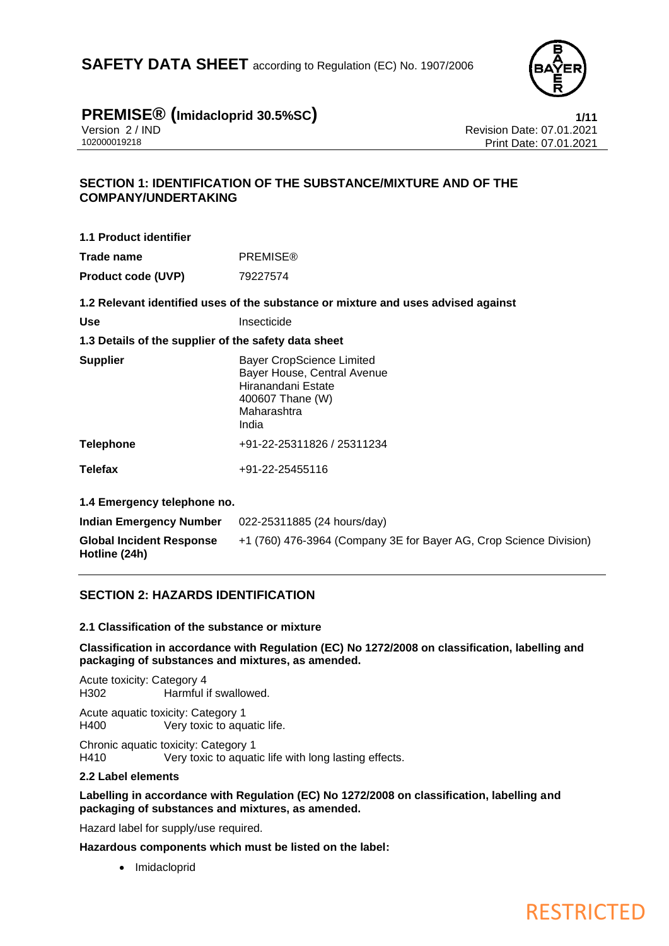

# **PREMISE® (Imidacloprid 30.5%SC) 1/11**

Version 2 / IND<br>102000019218 Print Date: 07.01.2021<br>Print Date: 07.01.2021 Print Date: 07.01.2021

## **SECTION 1: IDENTIFICATION OF THE SUBSTANCE/MIXTURE AND OF THE COMPANY/UNDERTAKING**

| 1.1 Product identifier                                                                                                                                                                                                        |                 |
|-------------------------------------------------------------------------------------------------------------------------------------------------------------------------------------------------------------------------------|-----------------|
| Trade name                                                                                                                                                                                                                    | <b>PREMISE®</b> |
| <b>Product code (UVP)</b>                                                                                                                                                                                                     | 79227574        |
| 4. A. Frank a conservative and the conservative and conservative and conservative and conservative and conservative and conservative and conservative and conservative and conservative and conservative and conservative and |                 |

**1.2 Relevant identified uses of the substance or mixture and uses advised against**

| Use | Insecticide |
|-----|-------------|
|     |             |

## **1.3 Details of the supplier of the safety data sheet**

| <b>Supplier</b> | <b>Bayer CropScience Limited</b><br>Bayer House, Central Avenue<br>Hiranandani Estate<br>400607 Thane (W)<br>Maharashtra<br>India |
|-----------------|-----------------------------------------------------------------------------------------------------------------------------------|
| Telephone       | +91-22-25311826 / 25311234                                                                                                        |
| Telefax         | +91-22-25455116                                                                                                                   |

**1.4 Emergency telephone no.**

| Indian Emergency Number                          | 022-25311885 (24 hours/day)                                        |
|--------------------------------------------------|--------------------------------------------------------------------|
| <b>Global Incident Response</b><br>Hotline (24h) | +1 (760) 476-3964 (Company 3E for Bayer AG, Crop Science Division) |

## **SECTION 2: HAZARDS IDENTIFICATION**

### **2.1 Classification of the substance or mixture**

**Classification in accordance with Regulation (EC) No 1272/2008 on classification, labelling and packaging of substances and mixtures, as amended.**

Acute toxicity: Category 4 H302 Harmful if swallowed.

Acute aquatic toxicity: Category 1 H400 Very toxic to aquatic life.

Chronic aquatic toxicity: Category 1<br>
H410 Very toxic to aquat Very toxic to aquatic life with long lasting effects.

### **2.2 Label elements**

**Labelling in accordance with Regulation (EC) No 1272/2008 on classification, labelling and packaging of substances and mixtures, as amended.**

Hazard label for supply/use required.

**Hazardous components which must be listed on the label:**

• Imidacloprid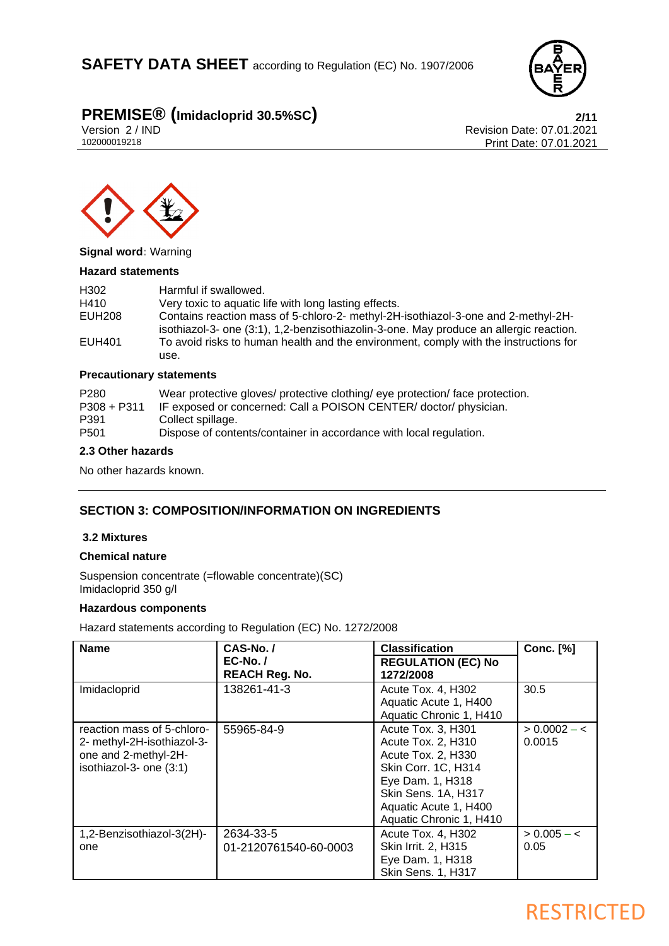

# **PREMISE<sup>®</sup> (Imidacloprid 30.5%SC)**<br>12021 Version 2/IND<br>Revision Date: 07.01.2021

Version 2 / IND<br>102000019218 Print Date: 07.01.2021<br>Print Date: 07.01.2021 Print Date: 07.01.2021



#### **Signal word:** Warning

#### **Hazard statements**

| H <sub>302</sub> | Harmful if swallowed.                                                                                                                                                       |
|------------------|-----------------------------------------------------------------------------------------------------------------------------------------------------------------------------|
| H410             | Very toxic to aquatic life with long lasting effects.                                                                                                                       |
| EUH208           | Contains reaction mass of 5-chloro-2- methyl-2H-isothiazol-3-one and 2-methyl-2H-<br>isothiazol-3- one (3:1), 1,2-benzisothiazolin-3-one. May produce an allergic reaction. |
| EUH401           | To avoid risks to human health and the environment, comply with the instructions for                                                                                        |
|                  | use.                                                                                                                                                                        |

## **Precautionary statements**

| P <sub>280</sub> | Wear protective gloves/ protective clothing/ eye protection/ face protection. |
|------------------|-------------------------------------------------------------------------------|
| $P308 + P311$    | IF exposed or concerned: Call a POISON CENTER/ doctor/ physician.             |
| P391             | Collect spillage.                                                             |
| P <sub>501</sub> | Dispose of contents/container in accordance with local regulation.            |

### **2.3 Other hazards**

No other hazards known.

## **SECTION 3: COMPOSITION/INFORMATION ON INGREDIENTS**

#### **3.2 Mixtures**

#### **Chemical nature**

Suspension concentrate (=flowable concentrate)(SC) Imidacloprid 350 g/l

### **Hazardous components**

Hazard statements according to Regulation (EC) No. 1272/2008

| <b>Name</b>                                                                                                 | CAS-No./                           | <b>Classification</b>                                                                                                                                                                | <b>Conc.</b> [%]         |
|-------------------------------------------------------------------------------------------------------------|------------------------------------|--------------------------------------------------------------------------------------------------------------------------------------------------------------------------------------|--------------------------|
|                                                                                                             | $EC-No.$<br><b>REACH Reg. No.</b>  | <b>REGULATION (EC) No</b><br>1272/2008                                                                                                                                               |                          |
| Imidacloprid                                                                                                | 138261-41-3                        | Acute Tox. 4, H302<br>Aquatic Acute 1, H400<br>Aquatic Chronic 1, H410                                                                                                               | 30.5                     |
| reaction mass of 5-chloro-<br>2- methyl-2H-isothiazol-3-<br>one and 2-methyl-2H-<br>isothiazol-3- one (3:1) | 55965-84-9                         | Acute Tox. 3, H301<br>Acute Tox. 2, H310<br>Acute Tox. 2, H330<br>Skin Corr. 1C, H314<br>Eye Dam. 1, H318<br>Skin Sens. 1A, H317<br>Aquatic Acute 1, H400<br>Aquatic Chronic 1, H410 | $> 0.0002 - <$<br>0.0015 |
| 1,2-Benzisothiazol-3(2H)-<br>one                                                                            | 2634-33-5<br>01-2120761540-60-0003 | Acute Tox. 4, H302<br>Skin Irrit. 2, H315<br>Eye Dam. 1, H318<br>Skin Sens. 1, H317                                                                                                  | $> 0.005 - c$<br>0.05    |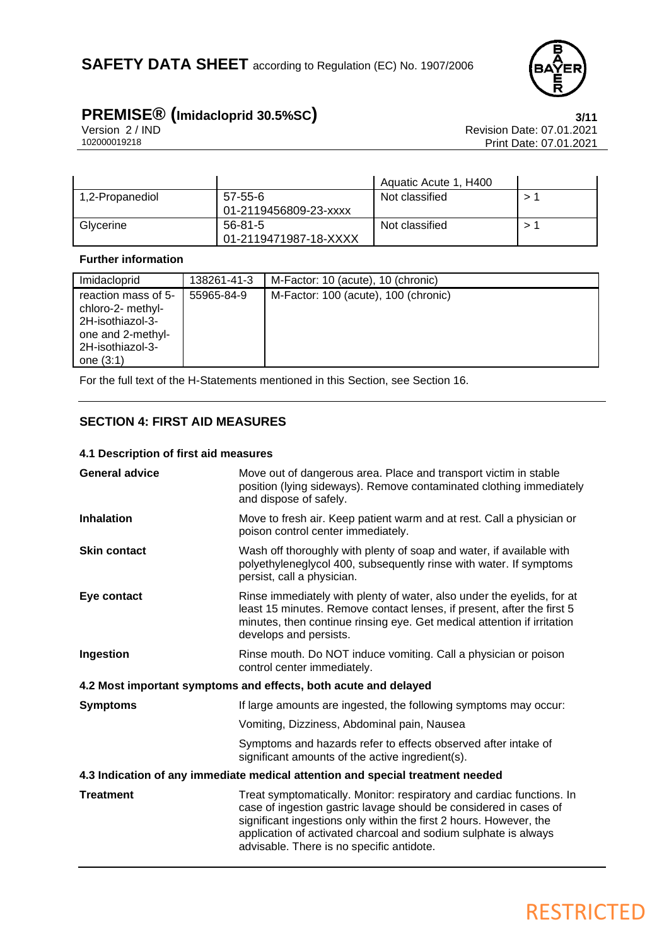

# **PREMISE<sup>®</sup> (Imidacloprid 30.5%SC)**<br>Version 2/IND<br>Revision Date: 07.01.2021

Version 2 / IND<br>102000019218 Print Date: 07.01.2021<br>Print Date: 07.01.2021 Print Date: 07.01.2021

|                 |                                  | Aquatic Acute 1, H400 |  |
|-----------------|----------------------------------|-----------------------|--|
| 1,2-Propanediol | 57-55-6<br>01-2119456809-23-xxxx | Not classified        |  |
| Glycerine       | 56-81-5<br>01-2119471987-18-XXXX | Not classified        |  |

## **Further information**

| Imidacloprid                                                                                                         | 138261-41-3 | M-Factor: 10 (acute), 10 (chronic)   |
|----------------------------------------------------------------------------------------------------------------------|-------------|--------------------------------------|
| reaction mass of 5-<br>chloro-2- methyl-<br>2H-isothiazol-3-<br>one and 2-methyl-<br>2H-isothiazol-3-<br>one $(3:1)$ | 55965-84-9  | M-Factor: 100 (acute), 100 (chronic) |

For the full text of the H-Statements mentioned in this Section, see Section 16.

## **SECTION 4: FIRST AID MEASURES**

#### **4.1 Description of first aid measures**

| <b>General advice</b>                                                          | Move out of dangerous area. Place and transport victim in stable<br>position (lying sideways). Remove contaminated clothing immediately<br>and dispose of safely.                                                                                                                                                                |  |
|--------------------------------------------------------------------------------|----------------------------------------------------------------------------------------------------------------------------------------------------------------------------------------------------------------------------------------------------------------------------------------------------------------------------------|--|
| <b>Inhalation</b>                                                              | Move to fresh air. Keep patient warm and at rest. Call a physician or<br>poison control center immediately.                                                                                                                                                                                                                      |  |
| <b>Skin contact</b>                                                            | Wash off thoroughly with plenty of soap and water, if available with<br>polyethyleneglycol 400, subsequently rinse with water. If symptoms<br>persist, call a physician.                                                                                                                                                         |  |
| Eye contact                                                                    | Rinse immediately with plenty of water, also under the eyelids, for at<br>least 15 minutes. Remove contact lenses, if present, after the first 5<br>minutes, then continue rinsing eye. Get medical attention if irritation<br>develops and persists.                                                                            |  |
| Ingestion                                                                      | Rinse mouth. Do NOT induce vomiting. Call a physician or poison<br>control center immediately.                                                                                                                                                                                                                                   |  |
|                                                                                | 4.2 Most important symptoms and effects, both acute and delayed                                                                                                                                                                                                                                                                  |  |
| <b>Symptoms</b>                                                                | If large amounts are ingested, the following symptoms may occur:                                                                                                                                                                                                                                                                 |  |
|                                                                                | Vomiting, Dizziness, Abdominal pain, Nausea                                                                                                                                                                                                                                                                                      |  |
|                                                                                | Symptoms and hazards refer to effects observed after intake of<br>significant amounts of the active ingredient(s).                                                                                                                                                                                                               |  |
| 4.3 Indication of any immediate medical attention and special treatment needed |                                                                                                                                                                                                                                                                                                                                  |  |
| <b>Treatment</b>                                                               | Treat symptomatically. Monitor: respiratory and cardiac functions. In<br>case of ingestion gastric lavage should be considered in cases of<br>significant ingestions only within the first 2 hours. However, the<br>application of activated charcoal and sodium sulphate is always<br>advisable. There is no specific antidote. |  |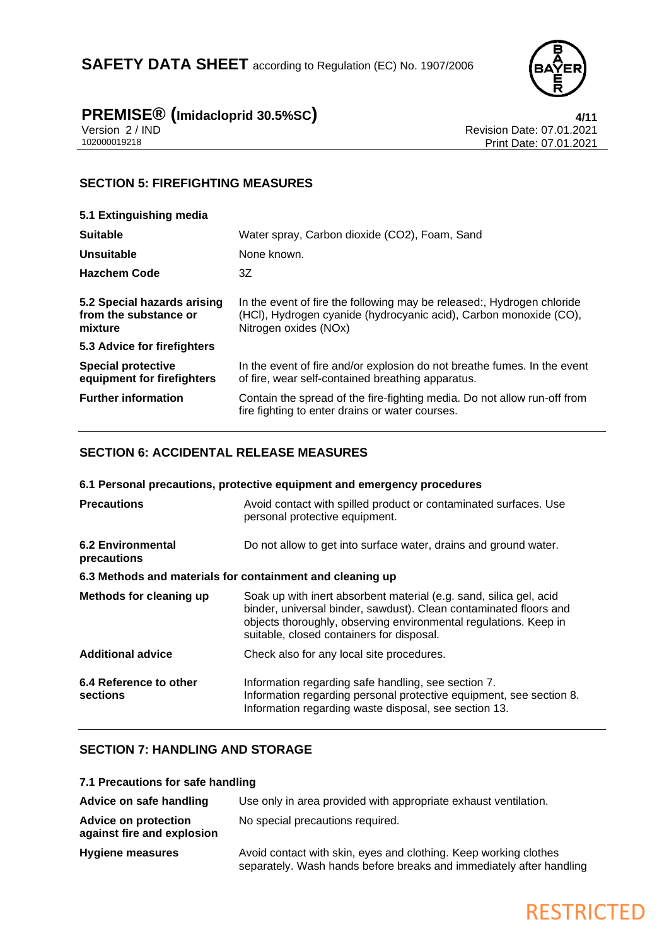

## **PREMISE® (Imidacloprid 30.5%SC) 4/11**

Version 2 / IND Revision Date: 07.01.2021 102000019218 Print Date: 07.01.2021

## **SECTION 5: FIREFIGHTING MEASURES**

| 5.1 Extinguishing media                                         |                                                                                                                                                                      |
|-----------------------------------------------------------------|----------------------------------------------------------------------------------------------------------------------------------------------------------------------|
| <b>Suitable</b>                                                 | Water spray, Carbon dioxide (CO2), Foam, Sand                                                                                                                        |
| Unsuitable                                                      | None known.                                                                                                                                                          |
| <b>Hazchem Code</b>                                             | 3Z                                                                                                                                                                   |
| 5.2 Special hazards arising<br>from the substance or<br>mixture | In the event of fire the following may be released:, Hydrogen chloride<br>(HCI), Hydrogen cyanide (hydrocyanic acid), Carbon monoxide (CO),<br>Nitrogen oxides (NOx) |
| 5.3 Advice for firefighters                                     |                                                                                                                                                                      |
| <b>Special protective</b><br>equipment for firefighters         | In the event of fire and/or explosion do not breathe fumes. In the event<br>of fire, wear self-contained breathing apparatus.                                        |
| <b>Further information</b>                                      | Contain the spread of the fire-fighting media. Do not allow run-off from<br>fire fighting to enter drains or water courses.                                          |

## **SECTION 6: ACCIDENTAL RELEASE MEASURES**

| 6.1 Personal precautions, protective equipment and emergency procedures |                                                                                                                                                                                                                                                          |  |
|-------------------------------------------------------------------------|----------------------------------------------------------------------------------------------------------------------------------------------------------------------------------------------------------------------------------------------------------|--|
| <b>Precautions</b>                                                      | Avoid contact with spilled product or contaminated surfaces. Use<br>personal protective equipment.                                                                                                                                                       |  |
| <b>6.2 Environmental</b><br>precautions                                 | Do not allow to get into surface water, drains and ground water.                                                                                                                                                                                         |  |
| 6.3 Methods and materials for containment and cleaning up               |                                                                                                                                                                                                                                                          |  |
| Methods for cleaning up                                                 | Soak up with inert absorbent material (e.g. sand, silica gel, acid<br>binder, universal binder, sawdust). Clean contaminated floors and<br>objects thoroughly, observing environmental regulations. Keep in<br>suitable, closed containers for disposal. |  |
| <b>Additional advice</b>                                                | Check also for any local site procedures.                                                                                                                                                                                                                |  |
| 6.4 Reference to other<br>sections                                      | Information regarding safe handling, see section 7.<br>Information regarding personal protective equipment, see section 8.<br>Information regarding waste disposal, see section 13.                                                                      |  |

## **SECTION 7: HANDLING AND STORAGE**

**7.1 Precautions for safe handling**

| Advice on safe handling                                   | Use only in area provided with appropriate exhaust ventilation.                                                                         |
|-----------------------------------------------------------|-----------------------------------------------------------------------------------------------------------------------------------------|
| <b>Advice on protection</b><br>against fire and explosion | No special precautions required.                                                                                                        |
| <b>Hygiene measures</b>                                   | Avoid contact with skin, eyes and clothing. Keep working clothes<br>separately. Wash hands before breaks and immediately after handling |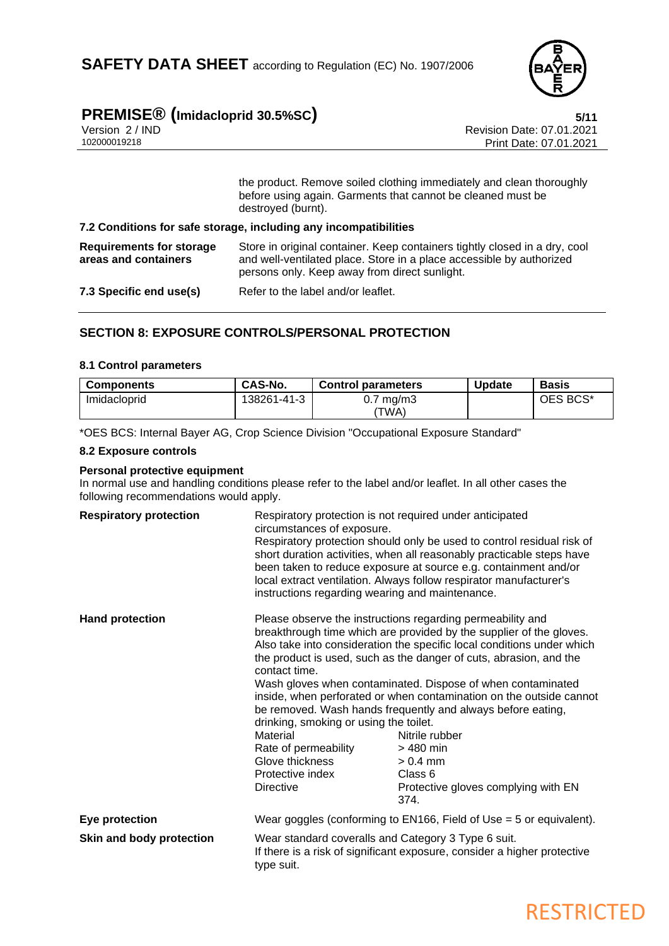

# **PREMISE<sup>®</sup> (Imidacloprid 30.5%SC) 5/11**<br>Version 2/IND<br>Revision Date: 07.01.2021

| Version 2 / IN |  |
|----------------|--|
| 102000010218   |  |

Revision Date: 07.01.2021 Print Date: 07.01.2021

the product. Remove soiled clothing immediately and clean thoroughly before using again. Garments that cannot be cleaned must be destroyed (burnt).

#### **7.2 Conditions for safe storage, including any incompatibilities**

**Requirements for storage areas and containers** Store in original container. Keep containers tightly closed in a dry, cool and well-ventilated place. Store in a place accessible by authorized persons only. Keep away from direct sunlight.

**7.3 Specific end use(s)** Refer to the label and/or leaflet.

## **SECTION 8: EXPOSURE CONTROLS/PERSONAL PROTECTION**

#### **8.1 Control parameters**

| <b>Components</b> | CAS-No.     | <b>Control parameters</b> | <b>Update</b> | <b>Basis</b> |
|-------------------|-------------|---------------------------|---------------|--------------|
| Imidacloprid      | 138261-41-3 | ′ mg/m3<br>v. 7           |               | OES BCS*     |
|                   |             | 'TWA)                     |               |              |

\*OES BCS: Internal Bayer AG, Crop Science Division "Occupational Exposure Standard"

#### **8.2 Exposure controls**

#### **Personal protective equipment**

In normal use and handling conditions please refer to the label and/or leaflet. In all other cases the following recommendations would apply.

| <b>Respiratory protection</b> | Respiratory protection is not required under anticipated<br>circumstances of exposure.<br>instructions regarding wearing and maintenance.              | Respiratory protection should only be used to control residual risk of<br>short duration activities, when all reasonably practicable steps have<br>been taken to reduce exposure at source e.g. containment and/or<br>local extract ventilation. Always follow respirator manufacturer's                                                                                                                                                                                                                                                                                                       |
|-------------------------------|--------------------------------------------------------------------------------------------------------------------------------------------------------|------------------------------------------------------------------------------------------------------------------------------------------------------------------------------------------------------------------------------------------------------------------------------------------------------------------------------------------------------------------------------------------------------------------------------------------------------------------------------------------------------------------------------------------------------------------------------------------------|
| <b>Hand protection</b>        | contact time.<br>drinking, smoking or using the toilet.<br>Material<br>Rate of permeability<br>Glove thickness<br>Protective index<br><b>Directive</b> | Please observe the instructions regarding permeability and<br>breakthrough time which are provided by the supplier of the gloves.<br>Also take into consideration the specific local conditions under which<br>the product is used, such as the danger of cuts, abrasion, and the<br>Wash gloves when contaminated. Dispose of when contaminated<br>inside, when perforated or when contamination on the outside cannot<br>be removed. Wash hands frequently and always before eating,<br>Nitrile rubber<br>$>480$ min<br>$> 0.4$ mm<br>Class 6<br>Protective gloves complying with EN<br>374. |
| Eye protection                |                                                                                                                                                        | Wear goggles (conforming to $EN166$ , Field of Use = 5 or equivalent).                                                                                                                                                                                                                                                                                                                                                                                                                                                                                                                         |
| Skin and body protection      | Wear standard coveralls and Category 3 Type 6 suit.<br>type suit.                                                                                      | If there is a risk of significant exposure, consider a higher protective                                                                                                                                                                                                                                                                                                                                                                                                                                                                                                                       |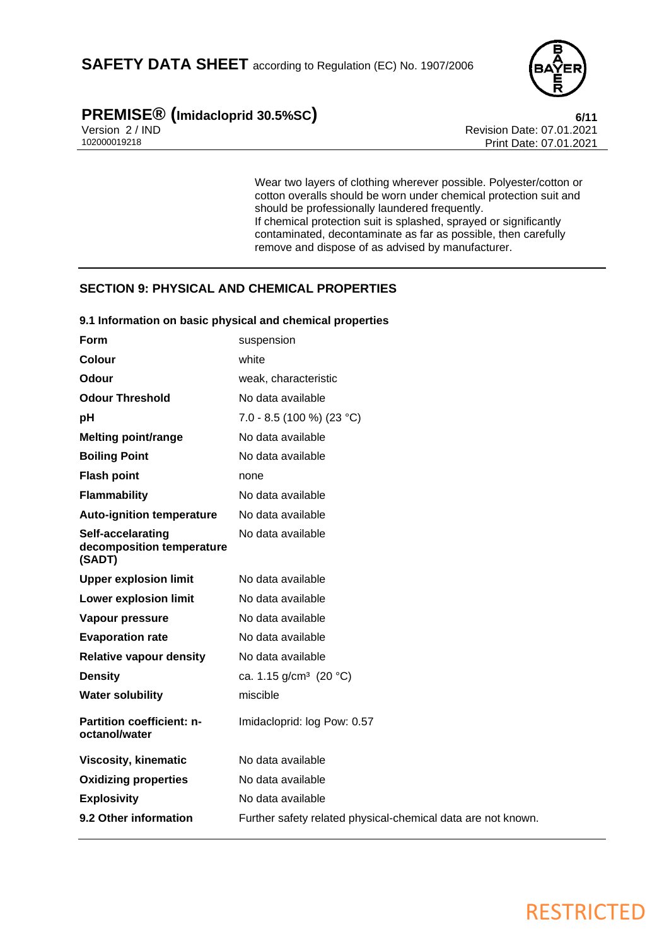

# **PREMISE<sup>®</sup> (Imidacloprid 30.5%SC) 6/11**<br>Version 2/IND **6/11**

Version 2 / IND<br>102000019218 Print Date: 07.01.2021<br>Print Date: 07.01.2021 Print Date: 07.01.2021

> Wear two layers of clothing wherever possible. Polyester/cotton or cotton overalls should be worn under chemical protection suit and should be professionally laundered frequently. If chemical protection suit is splashed, sprayed or significantly contaminated, decontaminate as far as possible, then carefully remove and dispose of as advised by manufacturer.

## **SECTION 9: PHYSICAL AND CHEMICAL PROPERTIES**

| Form                                                     | suspension                                                   |
|----------------------------------------------------------|--------------------------------------------------------------|
| Colour                                                   | white                                                        |
| Odour                                                    | weak, characteristic                                         |
| <b>Odour Threshold</b>                                   | No data available                                            |
| рH                                                       | 7.0 - 8.5 (100 %) (23 °C)                                    |
| <b>Melting point/range</b>                               | No data available                                            |
| <b>Boiling Point</b>                                     | No data available                                            |
| <b>Flash point</b>                                       | none                                                         |
| <b>Flammability</b>                                      | No data available                                            |
| <b>Auto-ignition temperature</b>                         | No data available                                            |
| Self-accelarating<br>decomposition temperature<br>(SADT) | No data available                                            |
| <b>Upper explosion limit</b>                             | No data available                                            |
| <b>Lower explosion limit</b>                             | No data available                                            |
| Vapour pressure                                          | No data available                                            |
| <b>Evaporation rate</b>                                  | No data available                                            |
| <b>Relative vapour density</b>                           | No data available                                            |
| <b>Density</b>                                           | ca. 1.15 g/cm <sup>3</sup> (20 °C)                           |
| <b>Water solubility</b>                                  | miscible                                                     |
| <b>Partition coefficient: n-</b><br>octanol/water        | Imidacloprid: log Pow: 0.57                                  |
| <b>Viscosity, kinematic</b>                              | No data available                                            |
| <b>Oxidizing properties</b>                              | No data available                                            |
| <b>Explosivity</b>                                       | No data available                                            |
| 9.2 Other information                                    | Further safety related physical-chemical data are not known. |
|                                                          |                                                              |

## **9.1 Information on basic physical and chemical properties**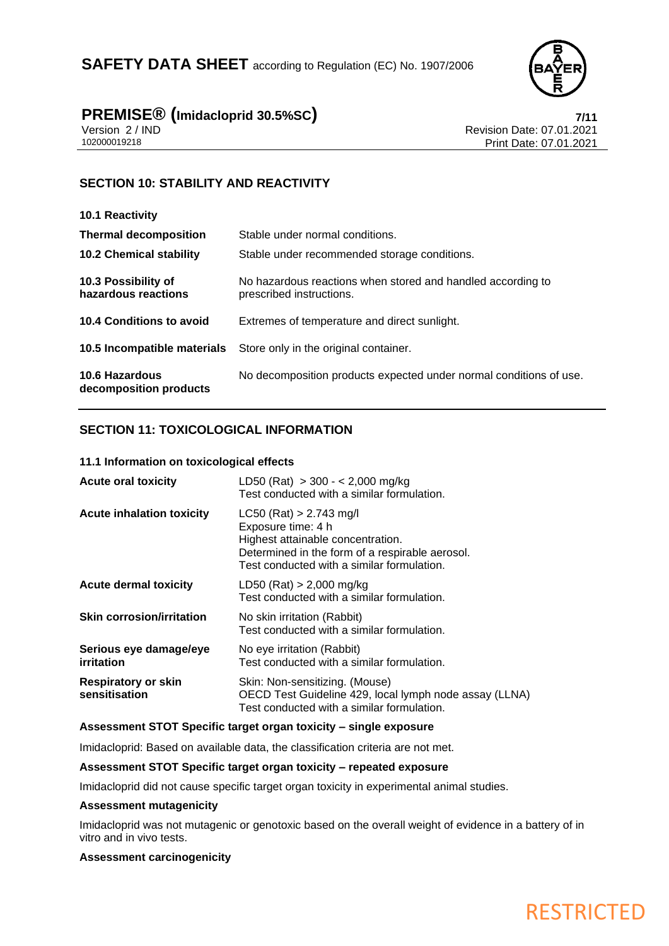

# **PREMISE® (Imidacloprid 30.5%SC) 7/11**

Version 2 / IND<br>102000019218 Print Date: 07.01.2021<br>Print Date: 07.01.2021 Print Date: 07.01.2021

## **SECTION 10: STABILITY AND REACTIVITY**

| 10.1 Reactivity                                 |                                                                                         |
|-------------------------------------------------|-----------------------------------------------------------------------------------------|
| <b>Thermal decomposition</b>                    | Stable under normal conditions.                                                         |
| <b>10.2 Chemical stability</b>                  | Stable under recommended storage conditions.                                            |
| 10.3 Possibility of<br>hazardous reactions      | No hazardous reactions when stored and handled according to<br>prescribed instructions. |
| 10.4 Conditions to avoid                        | Extremes of temperature and direct sunlight.                                            |
| 10.5 Incompatible materials                     | Store only in the original container.                                                   |
| <b>10.6 Hazardous</b><br>decomposition products | No decomposition products expected under normal conditions of use.                      |

## **SECTION 11: TOXICOLOGICAL INFORMATION**

#### **11.1 Information on toxicological effects**

| <b>Acute oral toxicity</b>                  | LD50 (Rat) $>$ 300 - < 2,000 mg/kg<br>Test conducted with a similar formulation.                                                                                                      |
|---------------------------------------------|---------------------------------------------------------------------------------------------------------------------------------------------------------------------------------------|
| <b>Acute inhalation toxicity</b>            | $LC50$ (Rat) > 2.743 mg/l<br>Exposure time: 4 h<br>Highest attainable concentration.<br>Determined in the form of a respirable aerosol.<br>Test conducted with a similar formulation. |
| <b>Acute dermal toxicity</b>                | LD50 (Rat) $> 2,000$ mg/kg<br>Test conducted with a similar formulation.                                                                                                              |
| <b>Skin corrosion/irritation</b>            | No skin irritation (Rabbit)<br>Test conducted with a similar formulation.                                                                                                             |
| Serious eye damage/eye<br>irritation        | No eye irritation (Rabbit)<br>Test conducted with a similar formulation.                                                                                                              |
| <b>Respiratory or skin</b><br>sensitisation | Skin: Non-sensitizing. (Mouse)<br>OECD Test Guideline 429, local lymph node assay (LLNA)<br>Test conducted with a similar formulation.                                                |

#### **Assessment STOT Specific target organ toxicity – single exposure**

Imidacloprid: Based on available data, the classification criteria are not met.

#### **Assessment STOT Specific target organ toxicity – repeated exposure**

Imidacloprid did not cause specific target organ toxicity in experimental animal studies.

#### **Assessment mutagenicity**

Imidacloprid was not mutagenic or genotoxic based on the overall weight of evidence in a battery of in vitro and in vivo tests.

#### **Assessment carcinogenicity**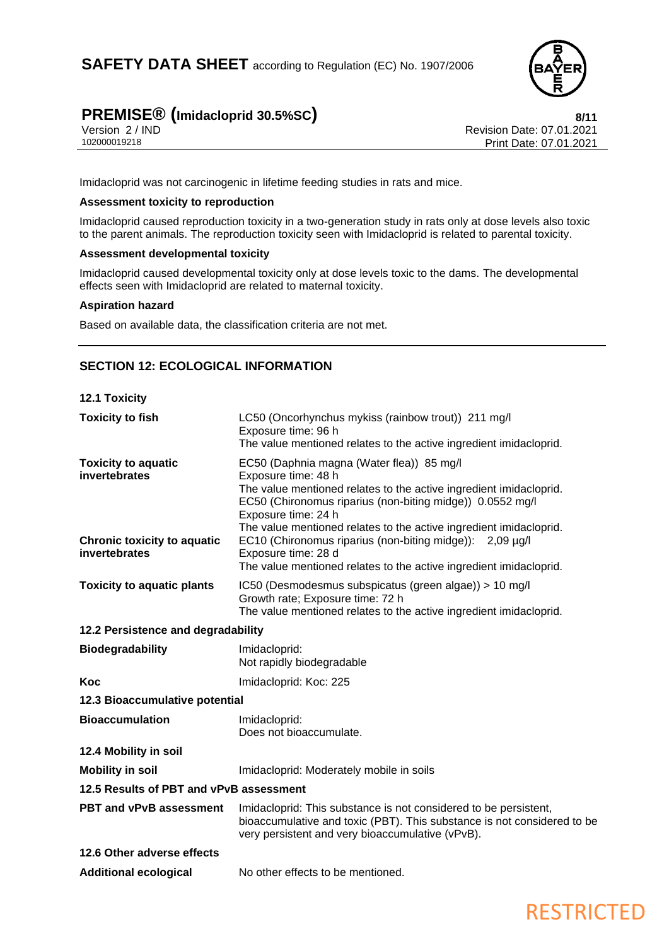

# **PREMISE<sup>®</sup> (Imidacloprid 30.5%SC) 8/11**<br>Version 2/IND **8/11**

Version 2 / IND<br>102000019218 Print Date: 07.01.2021<br>Print Date: 07.01.2021 Print Date: 07.01.2021

Imidacloprid was not carcinogenic in lifetime feeding studies in rats and mice.

## **Assessment toxicity to reproduction**

Imidacloprid caused reproduction toxicity in a two-generation study in rats only at dose levels also toxic to the parent animals. The reproduction toxicity seen with Imidacloprid is related to parental toxicity.

#### **Assessment developmental toxicity**

Imidacloprid caused developmental toxicity only at dose levels toxic to the dams. The developmental effects seen with Imidacloprid are related to maternal toxicity.

#### **Aspiration hazard**

Based on available data, the classification criteria are not met.

## **SECTION 12: ECOLOGICAL INFORMATION**

**12.1 Toxicity**

| <b>Toxicity to fish</b>                             | LC50 (Oncorhynchus mykiss (rainbow trout)) 211 mg/l<br>Exposure time: 96 h<br>The value mentioned relates to the active ingredient imidacloprid.                                                                                                                                                 |
|-----------------------------------------------------|--------------------------------------------------------------------------------------------------------------------------------------------------------------------------------------------------------------------------------------------------------------------------------------------------|
| <b>Toxicity to aquatic</b><br>invertebrates         | EC50 (Daphnia magna (Water flea)) 85 mg/l<br>Exposure time: 48 h<br>The value mentioned relates to the active ingredient imidacloprid.<br>EC50 (Chironomus riparius (non-biting midge)) 0.0552 mg/l<br>Exposure time: 24 h<br>The value mentioned relates to the active ingredient imidacloprid. |
| <b>Chronic toxicity to aquatic</b><br>invertebrates | EC10 (Chironomus riparius (non-biting midge)): 2,09 µg/l<br>Exposure time: 28 d<br>The value mentioned relates to the active ingredient imidacloprid.                                                                                                                                            |
| <b>Toxicity to aquatic plants</b>                   | IC50 (Desmodesmus subspicatus (green algae)) > 10 mg/l<br>Growth rate; Exposure time: 72 h<br>The value mentioned relates to the active ingredient imidacloprid.                                                                                                                                 |
| 12.2 Persistence and degradability                  |                                                                                                                                                                                                                                                                                                  |
| <b>Biodegradability</b>                             | Imidacloprid:<br>Not rapidly biodegradable                                                                                                                                                                                                                                                       |
| Koc                                                 | Imidacloprid: Koc: 225                                                                                                                                                                                                                                                                           |
| 12.3 Bioaccumulative potential                      |                                                                                                                                                                                                                                                                                                  |
| <b>Bioaccumulation</b>                              | Imidacloprid:<br>Does not bioaccumulate.                                                                                                                                                                                                                                                         |
| 12.4 Mobility in soil                               |                                                                                                                                                                                                                                                                                                  |
| <b>Mobility in soil</b>                             | Imidacloprid: Moderately mobile in soils                                                                                                                                                                                                                                                         |
| 12.5 Results of PBT and vPvB assessment             |                                                                                                                                                                                                                                                                                                  |
| <b>PBT and vPvB assessment</b>                      | Imidacloprid: This substance is not considered to be persistent,<br>bioaccumulative and toxic (PBT). This substance is not considered to be<br>very persistent and very bioaccumulative (vPvB).                                                                                                  |
| 12.6 Other adverse effects                          |                                                                                                                                                                                                                                                                                                  |
| <b>Additional ecological</b>                        | No other effects to be mentioned.                                                                                                                                                                                                                                                                |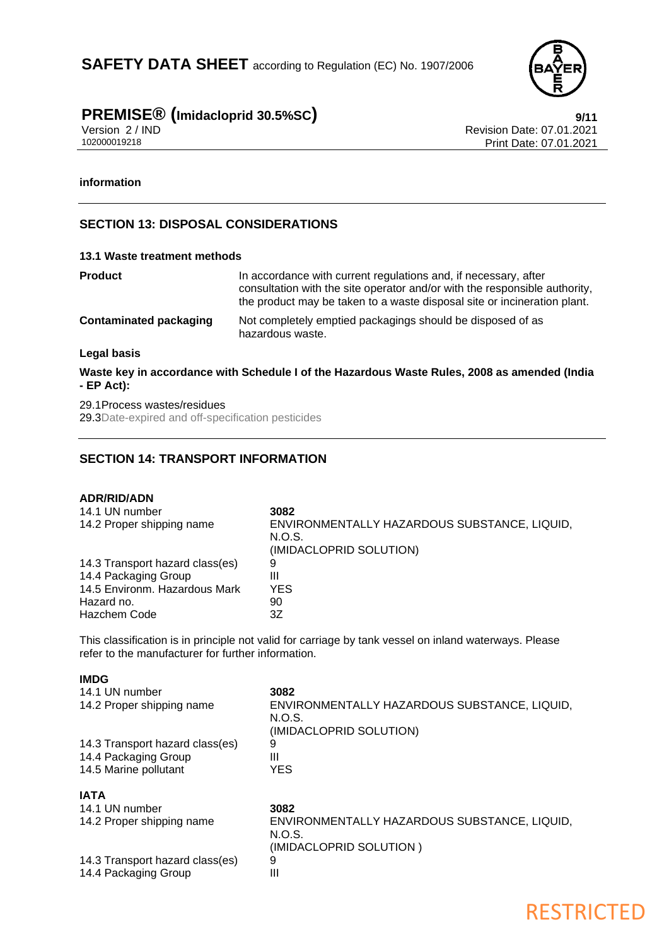

# **PREMISE<sup>®</sup> (Imidacloprid 30.5%SC) 9/11**<br>Version 2/IND **PREMISE**

Version 2 / IND<br>102000019218 Print Date: 07.01.2021<br>Print Date: 07.01.2021 Print Date: 07.01.2021

## **information**

## **SECTION 13: DISPOSAL CONSIDERATIONS**

#### **13.1 Waste treatment methods**

| <b>Product</b>                | In accordance with current regulations and, if necessary, after<br>consultation with the site operator and/or with the responsible authority,<br>the product may be taken to a waste disposal site or incineration plant. |
|-------------------------------|---------------------------------------------------------------------------------------------------------------------------------------------------------------------------------------------------------------------------|
| <b>Contaminated packaging</b> | Not completely emptied packagings should be disposed of as<br>hazardous waste.                                                                                                                                            |
| Legal basis                   |                                                                                                                                                                                                                           |
|                               | لمزادينا المواجهين والموارد والتواسع وعووانا وبتواصحها المنازعة والتاموان والشريعة والتواصيف وبالموارد الملاحظ                                                                                                            |

**Waste key in accordance with Schedule I of the Hazardous Waste Rules, 2008 as amended (India - EP Act):**

29.1Process wastes/residues

29.3Date-expired and off-specification pesticides

## **SECTION 14: TRANSPORT INFORMATION**

| <b>ADR/RID/ADN</b>              |                                              |
|---------------------------------|----------------------------------------------|
| 14.1 UN number                  | 3082                                         |
| 14.2 Proper shipping name       | ENVIRONMENTALLY HAZARDOUS SUBSTANCE, LIQUID, |
|                                 | N.O.S.                                       |
|                                 | (IMIDACLOPRID SOLUTION)                      |
| 14.3 Transport hazard class(es) | 9                                            |
| 14.4 Packaging Group            | Ш                                            |
| 14.5 Environm. Hazardous Mark   | <b>YES</b>                                   |
| Hazard no.                      | 90                                           |
| <b>Hazchem Code</b>             | 3Ζ                                           |

This classification is in principle not valid for carriage by tank vessel on inland waterways. Please refer to the manufacturer for further information.

| 14.1 UN number<br>14.2 Proper shipping name   | 3082<br>ENVIRONMENTALLY HAZARDOUS SUBSTANCE, LIQUID,<br>N.O.S.<br>(IMIDACLOPRID SOLUTION) |
|-----------------------------------------------|-------------------------------------------------------------------------------------------|
| 14.3 Transport hazard class(es)               | 9                                                                                         |
| 14.4 Packaging Group<br>14.5 Marine pollutant | Ш<br><b>YES</b>                                                                           |
| <b>IATA</b>                                   |                                                                                           |
| 14.1 UN number                                | 3082                                                                                      |
| 14.2 Proper shipping name                     | ENVIRONMENTALLY HAZARDOUS SUBSTANCE, LIQUID,<br>N.O.S.                                    |
|                                               | (IMIDACLOPRID SOLUTION)                                                                   |
| 14.3 Transport hazard class(es)               | 9                                                                                         |
| 14.4 Packaging Group                          | Ш                                                                                         |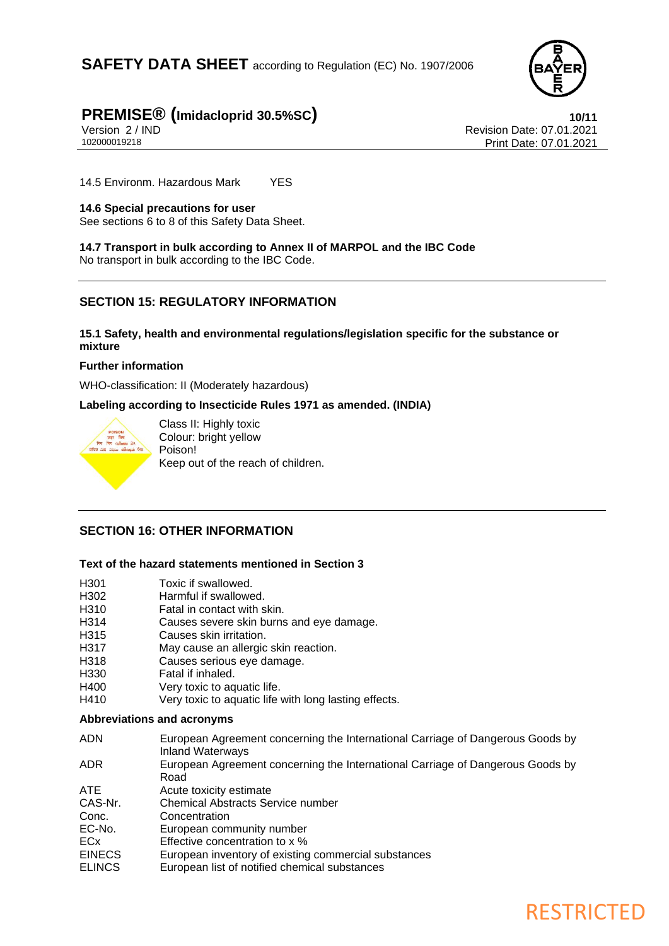

# **PREMISE® (Imidacloprid 30.5%SC) 10/11**

Version 2 / IND<br>102000019218 Print Date: 07.01.2021<br>Print Date: 07.01.2021 Print Date: 07.01.2021

14.5 Environm. Hazardous Mark YES

## **14.6 Special precautions for user**

See sections 6 to 8 of this Safety Data Sheet.

**14.7 Transport in bulk according to Annex II of MARPOL and the IBC Code** No transport in bulk according to the IBC Code.

## **SECTION 15: REGULATORY INFORMATION**

## **15.1 Safety, health and environmental regulations/legislation specific for the substance or mixture**

### **Further information**

WHO-classification: II (Moderately hazardous)

**Labeling according to Insecticide Rules 1971 as amended. (INDIA)**



Class II: Highly toxic Colour: bright yellow Poison! Keep out of the reach of children.

## **SECTION 16: OTHER INFORMATION**

## **Text of the hazard statements mentioned in Section 3**

- H301 Toxic if swallowed.<br>H302 Harmful if swallowe
- Harmful if swallowed.
- H310 Fatal in contact with skin.
- H314 Causes severe skin burns and eye damage.
- H315 Causes skin irritation.
- H317 May cause an allergic skin reaction.
- H318 Causes serious eye damage.
- H330 Fatal if inhaled.
- H400 Very toxic to aquatic life.
- H410 Very toxic to aquatic life with long lasting effects.

### **Abbreviations and acronyms**

| <b>ADN</b>    | European Agreement concerning the International Carriage of Dangerous Goods by<br><b>Inland Waterways</b> |
|---------------|-----------------------------------------------------------------------------------------------------------|
| ADR.          | European Agreement concerning the International Carriage of Dangerous Goods by<br>Road                    |
| ATE.          | Acute toxicity estimate                                                                                   |
| CAS-Nr.       | <b>Chemical Abstracts Service number</b>                                                                  |
| Conc.         | Concentration                                                                                             |
| EC-No.        | European community number                                                                                 |
| ECx           | Effective concentration to x %                                                                            |
| <b>EINECS</b> | European inventory of existing commercial substances                                                      |
| <b>ELINCS</b> | European list of notified chemical substances                                                             |